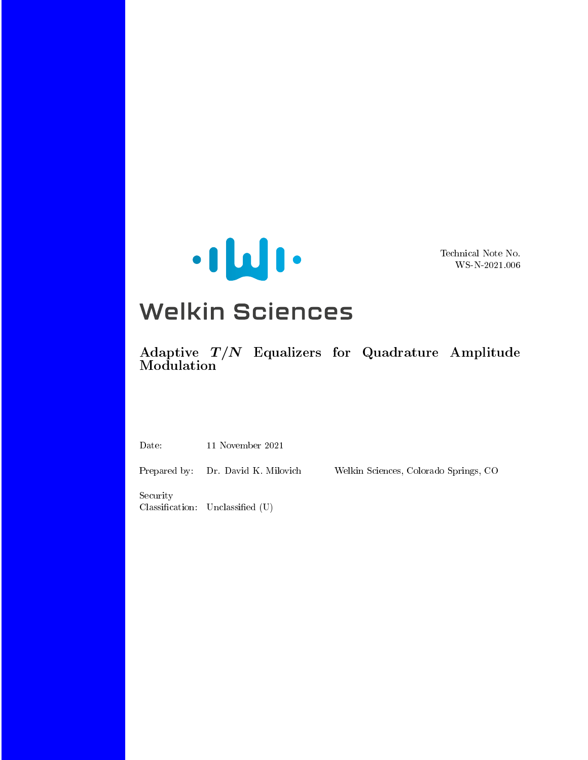

Technical Note No. WS-N-2021.006

# **Welkin Sciences**

 $\rm{Adaptive}$   $\;T/N\;$  Equalizers for Quadrature Amplitude Modulation

Date: 11 November 2021

Prepared by: Dr. David K. Milovich Welkin Sciences, Colorado Springs, CO

Security  $Classification: Unclassified (U)$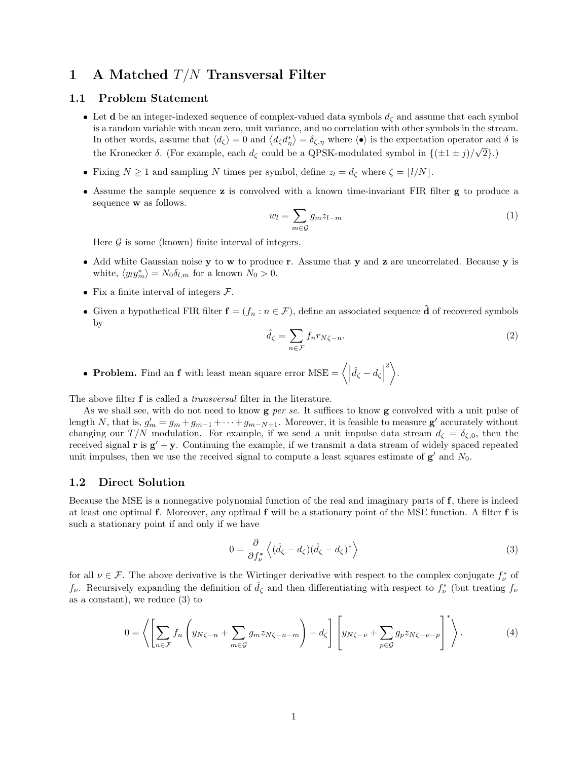## 1 A Matched  $T/N$  Transversal Filter

#### 1.1 Problem Statement

- **Let d** be an integer-indexed sequence of complex-valued data symbols  $d<sub>\zeta</sub>$  and assume that each symbol is a random variable with mean zero, unit variance, and no correlation with other symbols in the stream. In other words, assume that  $\langle d_{\zeta} \rangle = 0$  and  $\langle d_{\zeta} d_{\eta}^{*} \rangle = \delta_{\zeta, \eta}$  where  $\langle \bullet \rangle$  is the expectation operator and  $\delta$  is the Kronecker  $\delta$ . (For example, each  $d_{\zeta}$  could be a QPSK-modulated symbol in  $\{(\pm 1 \pm j)/\sqrt{2}\}\.$ )
- Fixing  $N \ge 1$  and sampling N times per symbol, define  $z_l = d_\zeta$  where  $\zeta = \lfloor l/N \rfloor$ .
- Assume the sample sequence z is convolved with a known time-invariant FIR filter g to produce a sequence w as follows.

$$
w_l = \sum_{m \in \mathcal{G}} g_m z_{l-m} \tag{1}
$$

Here  $\mathcal G$  is some (known) finite interval of integers.

- Add white Gaussian noise y to w to produce r. Assume that y and z are uncorrelated. Because y is white,  $\langle y_l y_m^* \rangle = N_0 \delta_{l,m}$  for a known  $N_0 > 0$ .
- Fix a finite interval of integers  $\mathcal{F}$ .
- Given a hypothetical FIR filter  $f = (f_n : n \in \mathcal{F})$ , define an associated sequence  $\hat{d}$  of recovered symbols by

$$
\hat{d}_{\zeta} = \sum_{n \in \mathcal{F}} f_n r_{N\zeta - n}.\tag{2}
$$

• Problem. Find an f with least mean square error  $MSE = \langle | \hat{d}_\zeta - d_\zeta |$  $^{2}$ .

The above filter **f** is called a *transversal* filter in the literature.

As we shall see, with do not need to know  $g$  per se. It suffices to know  $g$  convolved with a unit pulse of length N, that is,  $g'_m = g_m + g_{m-1} + \cdots + g_{m-N+1}$ . Moreover, it is feasible to measure  $g'$  accurately without changing our  $T/N$  modulation. For example, if we send a unit impulse data stream  $d_{\zeta} = \delta_{\zeta,0}$ , then the received signal  $\mathbf{r}$  is  $\mathbf{g}' + \mathbf{y}$ . Continuing the example, if we transmit a data stream of widely spaced repeated unit impulses, then we use the received signal to compute a least squares estimate of  $g'$  and  $N_0$ .

#### 1.2 Direct Solution

Because the MSE is a nonnegative polynomial function of the real and imaginary parts of f, there is indeed at least one optimal f. Moreover, any optimal f will be a stationary point of the MSE function. A filter f is such a stationary point if and only if we have

$$
0 = \frac{\partial}{\partial f_{\nu}^*} \left\langle (\hat{d}_{\zeta} - d_{\zeta})(\hat{d}_{\zeta} - d_{\zeta})^* \right\rangle \tag{3}
$$

 $-$  \*

for all  $\nu \in \mathcal{F}$ . The above derivative is the Wirtinger derivative with respect to the complex conjugate  $f^*_{\nu}$  of  $f_{\nu}$ . Recursively expanding the definition of  $\hat{d}_{\zeta}$  and then differentiating with respect to  $f_{\nu}^*$  (but treating  $f_{\nu}$ as a constant), we reduce (3) to

$$
0 = \left\langle \left[ \sum_{n \in \mathcal{F}} f_n \left( y_{N\zeta - n} + \sum_{m \in \mathcal{G}} g_m z_{N\zeta - n - m} \right) - d_{\zeta} \right] \left[ y_{N\zeta - \nu} + \sum_{p \in \mathcal{G}} g_p z_{N\zeta - \nu - p} \right]^* \right\rangle. \tag{4}
$$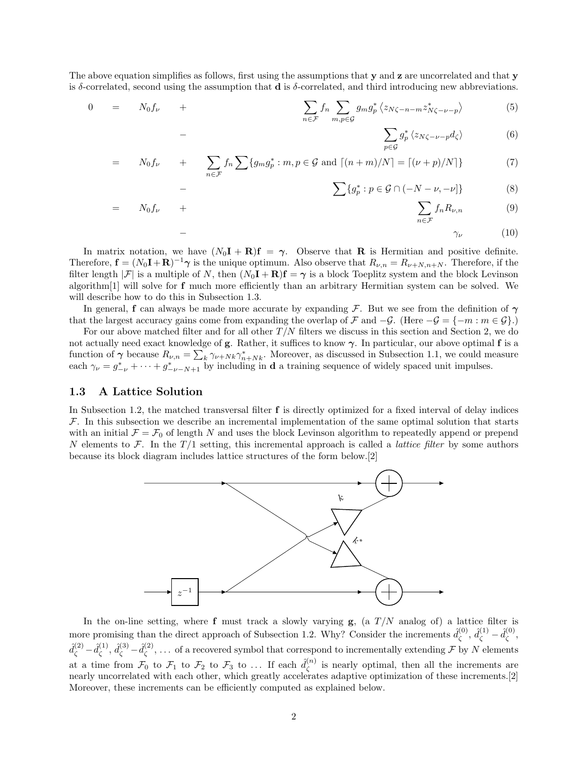The above equation simplifies as follows, first using the assumptions that  $\bf{v}$  and  $\bf{z}$  are uncorrelated and that  $\bf{v}$ is δ-correlated, second using the assumption that  $\bf{d}$  is δ-correlated, and third introducing new abbreviations.

$$
0 = N_0 f_{\nu} + \sum_{n \in \mathcal{F}} f_n \sum_{m,p \in \mathcal{G}} g_m g_p^* \langle z_{N\zeta - n - m} z_{N\zeta - \nu - p}^* \rangle \tag{5}
$$

$$
\sum_{p\in\mathcal{G}}g_p^*\left\langle z_{N\zeta-\nu-p}d_{\zeta}\right\rangle\tag{6}
$$

$$
= N_0 f_{\nu} + \sum_{n \in \mathcal{F}} f_n \sum \{g_m g_p^* : m, p \in \mathcal{G} \text{ and } \lceil (n+m)/N \rceil = \lceil (\nu + p)/N \rceil \}
$$
(7)

$$
\sum \{g_p^* : p \in \mathcal{G} \cap (-N - \nu, -\nu] \}
$$
 (8)

$$
= N_0 f_{\nu} + \sum_{n \in \mathcal{F}} f_n R_{\nu, n} \qquad (9)
$$

− γ<sup>ν</sup> (10)

In matrix notation, we have  $(N_0I + R)f = \gamma$ . Observe that R is Hermitian and positive definite. Therefore,  $\mathbf{f} = (N_0 \mathbf{I} + \mathbf{R})^{-1} \boldsymbol{\gamma}$  is the unique optimum. Also observe that  $R_{\nu,n} = R_{\nu+N,n+N}$ . Therefore, if the filter length  $|\mathcal{F}|$  is a multiple of N, then  $(N_0\mathbf{I} + \mathbf{R})\mathbf{f} = \gamma$  is a block Toeplitz system and the block Levinson algorithm<sup>[1]</sup> will solve for  $f$  much more efficiently than an arbitrary Hermitian system can be solved. We will describe how to do this in Subsection 1.3.

In general, f can always be made more accurate by expanding F. But we see from the definition of  $\gamma$ that the largest accuracy gains come from expanding the overlap of F and  $-\mathcal{G}$ . (Here  $-\mathcal{G} = \{-m : m \in \mathcal{G}\}\.$ )

For our above matched filter and for all other  $T/N$  filters we discuss in this section and Section 2, we do not actually need exact knowledge of g. Rather, it suffices to know  $\gamma$ . In particular, our above optimal f is a function of  $\gamma$  because  $R_{\nu,n} = \sum_k \gamma_{\nu+Nk} \gamma_{n+Nk}^*$ . Moreover, as discussed in Subsection 1.1, we could measure each  $\gamma_{\nu} = g_{-\nu}^* + \cdots + g_{-\nu-N+1}^*$  by including in **d** a training sequence of widely spaced unit impulses.

#### 1.3 A Lattice Solution

−

−

In Subsection 1.2, the matched transversal filter f is directly optimized for a fixed interval of delay indices  $\mathcal F$ . In this subsection we describe an incremental implementation of the same optimal solution that starts with an initial  $\mathcal{F} = \mathcal{F}_0$  of length N and uses the block Levinson algorithm to repeatedly append or prepend N elements to F. In the  $T/1$  setting, this incremental approach is called a *lattice filter* by some authors because its block diagram includes lattice structures of the form below.[2]



In the on-line setting, where  $f$  must track a slowly varying  $g$ , (a  $T/N$  analog of) a lattice filter is more promising than the direct approach of Subsection 1.2. Why? Consider the increments  $\hat{d}_{\zeta}^{(0)}$  $\hat{d}_{\zeta}^{(0)},\,\hat{d}_{\zeta}^{(1)}-\hat{d}_{\zeta}^{(0)}$ ζ ,  $\hat{d}_{\zeta}^{(2)} - \hat{d}_{\zeta}^{(1)}$  $\hat{d}_{\zeta}^{(1)}, \, \hat{d}_{\zeta}^{(3)}$  -  $\hat{d}_{\zeta}^{(2)}$  $\zeta^{(2)}$ , ... of a recovered symbol that correspond to incrementally extending F by N elements at a time from  $\mathcal{F}_0$  to  $\mathcal{F}_1$  to  $\mathcal{F}_2$  to  $\mathcal{F}_3$  to ... If each  $\hat{d}_{\zeta}^{(n)}$  $\zeta^{(n)}$  is nearly optimal, then all the increments are nearly uncorrelated with each other, which greatly accelerates adaptive optimization of these increments.[2] Moreover, these increments can be efficiently computed as explained below.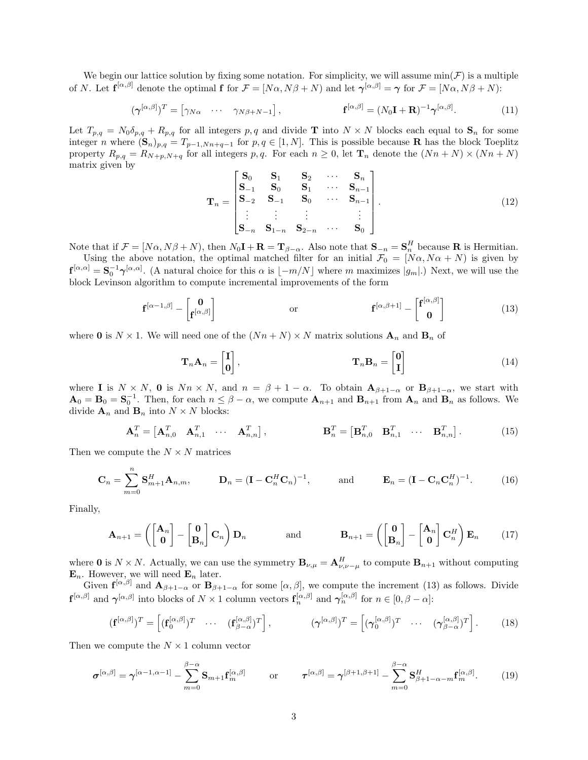We begin our lattice solution by fixing some notation. For simplicity, we will assume  $\min(\mathcal{F})$  is a multiple of N. Let  $\mathbf{f}^{[\alpha,\beta]}$  denote the optimal f for  $\mathcal{F} = [N\alpha, N\beta + N)$  and let  $\boldsymbol{\gamma}^{[\alpha,\beta]} = \boldsymbol{\gamma}$  for  $\mathcal{F} = [N\alpha, N\beta + N)$ :

$$
(\boldsymbol{\gamma}^{[\alpha,\beta]})^T = [\gamma_{N\alpha} \cdots \gamma_{N\beta+N-1}], \qquad \mathbf{f}^{[\alpha,\beta]} = (N_0\mathbf{I} + \mathbf{R})^{-1}\boldsymbol{\gamma}^{[\alpha,\beta]}.
$$
 (11)

Let  $T_{p,q} = N_0 \delta_{p,q} + R_{p,q}$  for all integers p, q and divide **T** into  $N \times N$  blocks each equal to  $S_n$  for some integer n where  $(\mathbf{S}_n)_{p,q} = T_{p-1,Nn+q-1}$  for  $p,q \in [1,N]$ . This is possible because **R** has the block Toeplitz property  $R_{p,q} = R_{N+p,N+q}$  for all integers p, q. For each  $n \geq 0$ , let  $\mathbf{T}_n$  denote the  $(Nn+N) \times (Nn+N)$ matrix given by

$$
\mathbf{T}_n = \begin{bmatrix} \mathbf{S}_0 & \mathbf{S}_1 & \mathbf{S}_2 & \cdots & \mathbf{S}_n \\ \mathbf{S}_{-1} & \mathbf{S}_0 & \mathbf{S}_1 & \cdots & \mathbf{S}_{n-1} \\ \mathbf{S}_{-2} & \mathbf{S}_{-1} & \mathbf{S}_0 & \cdots & \mathbf{S}_{n-1} \\ \vdots & \vdots & \vdots & & \vdots \\ \mathbf{S}_{-n} & \mathbf{S}_{1-n} & \mathbf{S}_{2-n} & \cdots & \mathbf{S}_0 \end{bmatrix} .
$$
 (12)

Note that if  $\mathcal{F} = [N\alpha, N\beta + N)$ , then  $N_0\mathbf{I} + \mathbf{R} = \mathbf{T}_{\beta-\alpha}$ . Also note that  $\mathbf{S}_{-n} = \mathbf{S}_n^H$  because **R** is Hermitian.

Using the above notation, the optimal matched filter for an initial  $\mathcal{F}_0 = [N\alpha, N\alpha + N)$  is given by  $\mathbf{f}^{[\alpha,\alpha]} = \mathbf{S}_0^{-1} \boldsymbol{\gamma}^{[\alpha,\alpha]}$ . (A natural choice for this  $\alpha$  is  $\lfloor -m/N \rfloor$  where m maximizes  $|g_m|$ .) Next, we will use the block Levinson algorithm to compute incremental improvements of the form

$$
\mathbf{f}^{[\alpha-1,\beta]} - \begin{bmatrix} \mathbf{0} \\ \mathbf{f}^{[\alpha,\beta]} \end{bmatrix} \quad \text{or} \quad \mathbf{f}^{[\alpha,\beta+1]} - \begin{bmatrix} \mathbf{f}^{[\alpha,\beta]} \\ \mathbf{0} \end{bmatrix} \tag{13}
$$

where 0 is  $N \times 1$ . We will need one of the  $(Nn + N) \times N$  matrix solutions  $\mathbf{A}_n$  and  $\mathbf{B}_n$  of

$$
\mathbf{T}_n \mathbf{A}_n = \begin{bmatrix} \mathbf{I} \\ \mathbf{0} \end{bmatrix}, \qquad \mathbf{T}_n \mathbf{B}_n = \begin{bmatrix} \mathbf{0} \\ \mathbf{I} \end{bmatrix} \tag{14}
$$

where I is  $N \times N$ , 0 is  $Nn \times N$ , and  $n = \beta + 1 - \alpha$ . To obtain  $\mathbf{A}_{\beta+1-\alpha}$  or  $\mathbf{B}_{\beta+1-\alpha}$ , we start with  $\mathbf{A}_0 = \mathbf{B}_0 = \mathbf{S}_0^{-1}$ . Then, for each  $n \leq \beta - \alpha$ , we compute  $\mathbf{A}_{n+1}$  and  $\mathbf{B}_{n+1}$  from  $\mathbf{A}_n$  and  $\mathbf{B}_n$  as follows. We divide  $\mathbf{A}_n$  and  $\mathbf{B}_n$  into  $N \times N$  blocks:

$$
\mathbf{A}_n^T = \begin{bmatrix} \mathbf{A}_{n,0}^T & \mathbf{A}_{n,1}^T & \cdots & \mathbf{A}_{n,n}^T \end{bmatrix}, \qquad \qquad \mathbf{B}_n^T = \begin{bmatrix} \mathbf{B}_{n,0}^T & \mathbf{B}_{n,1}^T & \cdots & \mathbf{B}_{n,n}^T \end{bmatrix}.
$$
 (15)

Then we compute the  $N \times N$  matrices

$$
\mathbf{C}_n = \sum_{m=0}^n \mathbf{S}_{m+1}^H \mathbf{A}_{n,m}, \qquad \mathbf{D}_n = (\mathbf{I} - \mathbf{C}_n^H \mathbf{C}_n)^{-1}, \qquad \text{and} \qquad \mathbf{E}_n = (\mathbf{I} - \mathbf{C}_n \mathbf{C}_n^H)^{-1}.
$$
 (16)

Finally,

$$
\mathbf{A}_{n+1} = \left( \begin{bmatrix} \mathbf{A}_n \\ \mathbf{0} \end{bmatrix} - \begin{bmatrix} \mathbf{0} \\ \mathbf{B}_n \end{bmatrix} \mathbf{C}_n \right) \mathbf{D}_n \quad \text{and} \quad \mathbf{B}_{n+1} = \left( \begin{bmatrix} \mathbf{0} \\ \mathbf{B}_n \end{bmatrix} - \begin{bmatrix} \mathbf{A}_n \\ \mathbf{0} \end{bmatrix} \mathbf{C}_n^H \right) \mathbf{E}_n \quad (17)
$$

where 0 is  $N \times N$ . Actually, we can use the symmetry  $\mathbf{B}_{\nu,\mu} = \mathbf{A}_{\nu,\nu-\mu}^H$  to compute  $\mathbf{B}_{n+1}$  without computing  $\mathbf{E}_n$ . However, we will need  $\mathbf{E}_n$  later.

Given  $f^{[\alpha,\beta]}$  and  $A_{\beta+1-\alpha}$  or  $B_{\beta+1-\alpha}$  for some  $[\alpha,\beta]$ , we compute the increment (13) as follows. Divide  $\mathbf{f}^{[\alpha,\beta]}$  and  $\boldsymbol{\gamma}^{[\alpha,\beta]}$  into blocks of  $N \times 1$  column vectors  $\mathbf{f}_n^{[\alpha,\beta]}$  and  $\boldsymbol{\gamma}_n^{[\alpha,\beta]}$  for  $n \in [0,\beta-\alpha]$ :

$$
(\mathbf{f}^{[\alpha,\beta]})^T = \left[ (\mathbf{f}_0^{[\alpha,\beta]})^T \quad \cdots \quad (\mathbf{f}_{\beta-\alpha}^{[\alpha,\beta]})^T \right], \qquad (\boldsymbol{\gamma}^{[\alpha,\beta]})^T = \left[ (\boldsymbol{\gamma}_0^{[\alpha,\beta]})^T \quad \cdots \quad (\boldsymbol{\gamma}_{\beta-\alpha}^{[\alpha,\beta]})^T \right]. \qquad (18)
$$

Then we compute the  $N \times 1$  column vector

$$
\boldsymbol{\sigma}^{[\alpha,\beta]} = \boldsymbol{\gamma}^{[\alpha-1,\alpha-1]} - \sum_{m=0}^{\beta-\alpha} \mathbf{S}_{m+1} \mathbf{f}_m^{[\alpha,\beta]} \qquad \text{or} \qquad \boldsymbol{\tau}^{[\alpha,\beta]} = \boldsymbol{\gamma}^{[\beta+1,\beta+1]} - \sum_{m=0}^{\beta-\alpha} \mathbf{S}_{\beta+1-\alpha-m}^H \mathbf{f}_m^{[\alpha,\beta]}.
$$
 (19)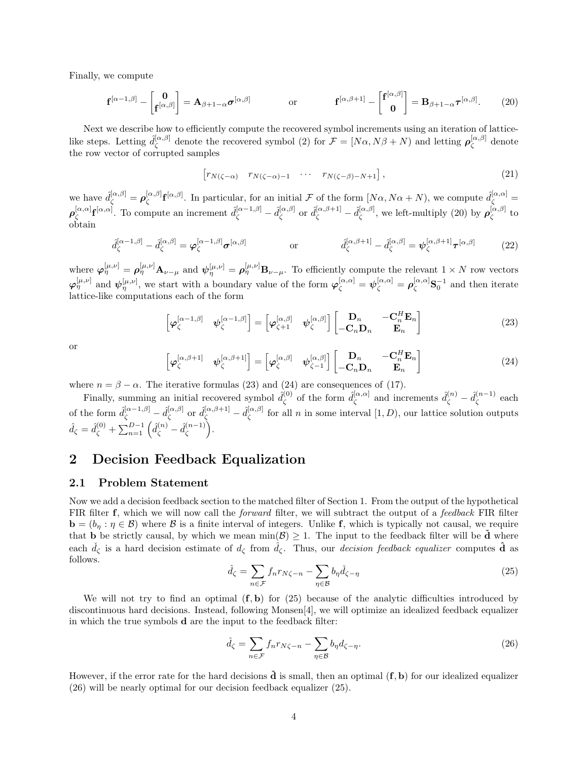Finally, we compute

$$
\mathbf{f}^{[\alpha-1,\beta]} - \begin{bmatrix} \mathbf{0} \\ \mathbf{f}^{[\alpha,\beta]} \end{bmatrix} = \mathbf{A}_{\beta+1-\alpha} \boldsymbol{\sigma}^{[\alpha,\beta]} \quad \text{or} \quad \mathbf{f}^{[\alpha,\beta+1]} - \begin{bmatrix} \mathbf{f}^{[\alpha,\beta]} \\ \mathbf{0} \end{bmatrix} = \mathbf{B}_{\beta+1-\alpha} \boldsymbol{\tau}^{[\alpha,\beta]}.
$$
 (20)

Next we describe how to efficiently compute the recovered symbol increments using an iteration of latticelike steps. Letting  $\hat{d}_{\zeta}^{[\alpha,\beta]}$  $\chi^{[\alpha,\beta]}$  denote the recovered symbol (2) for  $\mathcal{F} = [N\alpha, N\beta + N)$  and letting  $\rho_{\zeta}^{[\alpha,\beta]}$  $\zeta^{\alpha,\rho}$  denote the row vector of corrupted samples

$$
\left[r_{N(\zeta-\alpha)} \quad r_{N(\zeta-\alpha)-1} \quad \cdots \quad r_{N(\zeta-\beta)-N+1}\right],\tag{21}
$$

we have  $\hat{d}_{\zeta}^{[\alpha,\beta]} = \rho_{\zeta}^{[\alpha,\beta]}$  $\int_{\zeta}^{[\alpha,\beta]} \mathbf{f}^{[\alpha,\beta]}$ . In particular, for an initial F of the form  $[N\alpha, N\alpha+N)$ , we compute  $\hat{d}_{\zeta}^{[\alpha,\alpha]}$  $\boldsymbol{\rho}^{[\alpha,\alpha]}_{\scriptscriptstyle \mathcal{C}}$  $[\alpha, \alpha]$ **f** $[\alpha, \alpha]$ . To compute an increment  $\hat{d}_{\zeta}^{[\alpha-1,\beta]} - \hat{d}_{\zeta}^{[\alpha,\beta]}$  $[\alpha, \beta]$  or  $\hat d_\zeta^{[\alpha, \beta + 1]} - \hat d_\zeta^{[\alpha, \beta]}$  $\mathcal{L}_{\zeta}^{[\alpha,\beta]}$ , we left-multiply (20) by  $\rho_{\zeta}^{[\alpha,\beta]}$  $\,\mathop{\zeta}\limits^{\scriptscriptstyle[\alpha,\rho]}$  to obtain

$$
\hat{d}_{\zeta}^{[\alpha-1,\beta]} - \hat{d}_{\zeta}^{[\alpha,\beta]} = \varphi_{\zeta}^{[\alpha-1,\beta]} \sigma^{[\alpha,\beta]}
$$
 or 
$$
\hat{d}_{\zeta}^{[\alpha,\beta+1]} - \hat{d}_{\zeta}^{[\alpha,\beta]} = \psi_{\zeta}^{[\alpha,\beta+1]} \tau^{[\alpha,\beta]}
$$
 (22)

where  $\varphi_{\eta}^{[\mu,\nu]} = \rho_{\eta}^{[\mu,\nu]} A_{\nu-\mu}$  and  $\psi_{\eta}^{[\mu,\nu]} = \rho_{\eta}^{[\mu,\nu]} B_{\nu-\mu}$ . To efficiently compute the relevant  $1 \times N$  row vectors  $\varphi_{\eta}^{[\mu,\nu]}$  and  $\psi_{\eta}^{[\mu,\nu]}$ , we start with a boundary value of the form  $\varphi_{\zeta}^{[\alpha,\alpha]} = \psi_{\zeta}^{[\alpha,\alpha]} = \rho_{\zeta}^{[\alpha,\alpha]} S_0^{-1}$  and then iterate lattice-like computations each of the form

$$
\begin{bmatrix} \boldsymbol{\varphi}_{\zeta}^{[\alpha-1,\beta]} & \boldsymbol{\psi}_{\zeta}^{[\alpha-1,\beta]} \end{bmatrix} = \begin{bmatrix} \boldsymbol{\varphi}_{\zeta+1}^{[\alpha,\beta]} & \boldsymbol{\psi}_{\zeta}^{[\alpha,\beta]} \end{bmatrix} \begin{bmatrix} \mathbf{D}_n & -\mathbf{C}_n^H \mathbf{E}_n \\ -\mathbf{C}_n \mathbf{D}_n & \mathbf{E}_n \end{bmatrix}
$$
(23)

or

$$
\begin{bmatrix} \boldsymbol{\varphi}_{\zeta}^{[\alpha,\beta+1]} & \boldsymbol{\psi}_{\zeta}^{[\alpha,\beta+1]} \end{bmatrix} = \begin{bmatrix} \boldsymbol{\varphi}_{\zeta}^{[\alpha,\beta]} & \boldsymbol{\psi}_{\zeta-1}^{[\alpha,\beta]} \end{bmatrix} \begin{bmatrix} \mathbf{D}_n & -\mathbf{C}_n^H \mathbf{E}_n \\ -\mathbf{C}_n \mathbf{D}_n & \mathbf{E}_n \end{bmatrix}
$$
(24)

where  $n = \beta - \alpha$ . The iterative formulas (23) and (24) are consequences of (17).

Finally, summing an initial recovered symbol  $\hat{d}_{\epsilon}^{(0)}$  $\hat{d}_{\zeta}^{(0)}$  of the form  $\hat{d}_{\zeta}^{[\alpha,\alpha]}$  $\hat{d}_{\zeta}^{[\alpha,\alpha]}$  and increments  $\hat{d}_{\zeta}^{(n)} - \hat{d}_{\zeta}^{(n-1)}$  $\zeta^{(n-1)}$  each of the form  $\hat{d}_{\zeta}^{[\alpha-1,\beta]} - \hat{d}_{\zeta}^{[\alpha,\beta]}$  $\hat{d}_{\zeta}^{[\alpha,\beta]}$  or  $\hat{d}_{\zeta}^{[\alpha,\beta+1]}-\hat{d}_{\zeta}^{[\alpha,\beta]}$  $\alpha_{\zeta}^{[\alpha,\beta]}$  for all n in some interval  $[1, D)$ , our lattice solution outputs  $\hat{d}_{\zeta} = \hat{d}_{\zeta}^{(0)} + \sum_{n=1}^{D-1} \left( \hat{d}_{\zeta}^{(n)} - \hat{d}_{\zeta}^{(n-1)} \right)$  $\binom{n-1}{\zeta}$ .

## 2 Decision Feedback Equalization

#### 2.1 Problem Statement

Now we add a decision feedback section to the matched filter of Section 1. From the output of the hypothetical FIR filter f, which we will now call the *forward* filter, we will subtract the output of a *feedback* FIR filter  $\mathbf{b} = (b_{\eta} : \eta \in \mathcal{B})$  where  $\mathcal{B}$  is a finite interval of integers. Unlike f, which is typically not causal, we require that **b** be strictly causal, by which we mean  $min(\mathcal{B}) \geq 1$ . The input to the feedback filter will be  $\check{d}$  where each  $\tilde{d}_{\zeta}$  is a hard decision estimate of  $d_{\zeta}$  from  $\tilde{d}_{\zeta}$ . Thus, our *decision feedback equalizer* computes  $\tilde{d}$  as follows.

$$
\hat{d}_{\zeta} = \sum_{n \in \mathcal{F}} f_n r_{N\zeta - n} - \sum_{\eta \in \mathcal{B}} b_\eta \check{d}_{\zeta - \eta} \tag{25}
$$

We will not try to find an optimal  $(f, b)$  for (25) because of the analytic difficulties introduced by discontinuous hard decisions. Instead, following Monsen[4], we will optimize an idealized feedback equalizer in which the true symbols d are the input to the feedback filter:

$$
\hat{d}_{\zeta} = \sum_{n \in \mathcal{F}} f_n r_{N\zeta - n} - \sum_{\eta \in \mathcal{B}} b_\eta d_{\zeta - \eta}.
$$
\n(26)

However, if the error rate for the hard decisions  $\dot{\mathbf{d}}$  is small, then an optimal  $(\mathbf{f}, \mathbf{b})$  for our idealized equalizer (26) will be nearly optimal for our decision feedback equalizer (25).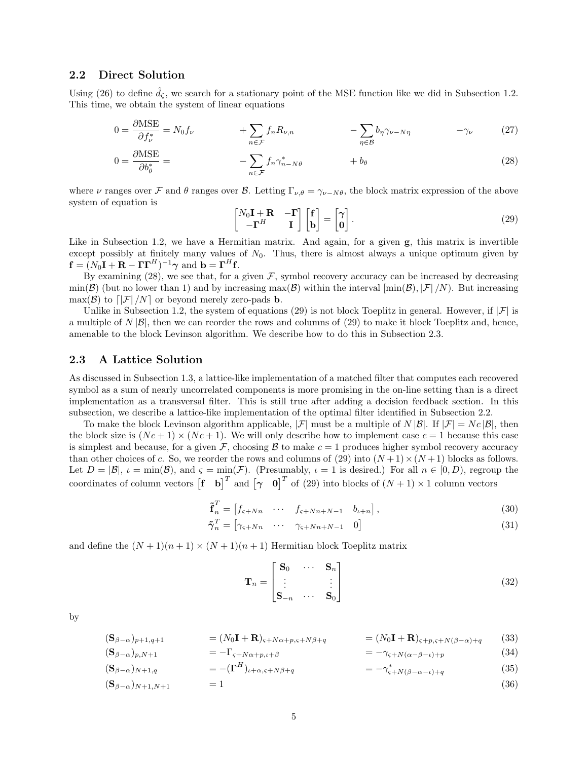#### 2.2 Direct Solution

Using (26) to define  $\ddot{d}_{\zeta}$ , we search for a stationary point of the MSE function like we did in Subsection 1.2. This time, we obtain the system of linear equations

$$
0 = \frac{\partial \text{MSE}}{\partial f_{\nu}^*} = N_0 f_{\nu} \qquad + \sum_{n \in \mathcal{F}} f_n R_{\nu, n} \qquad - \sum_{\eta \in \mathcal{B}} b_{\eta} \gamma_{\nu - N\eta} \qquad -\gamma_{\nu} \qquad (27)
$$

$$
0 = \frac{\partial \text{MSE}}{\partial b_{\theta}^{*}} = -\sum_{n \in \mathcal{F}} f_{n} \gamma_{n-N\theta}^{*} + b_{\theta} \tag{28}
$$

where  $\nu$  ranges over  $\mathcal F$  and  $\theta$  ranges over  $\mathcal B$ . Letting  $\Gamma_{\nu,\theta} = \gamma_{\nu-N\theta}$ , the block matrix expression of the above system of equation is

$$
\begin{bmatrix} N_0 \mathbf{I} + \mathbf{R} & -\mathbf{\Gamma} \\ -\mathbf{\Gamma}^H & \mathbf{I} \end{bmatrix} \begin{bmatrix} \mathbf{f} \\ \mathbf{b} \end{bmatrix} = \begin{bmatrix} \gamma \\ 0 \end{bmatrix} . \tag{29}
$$

Like in Subsection 1.2, we have a Hermitian matrix. And again, for a given  $g$ , this matrix is invertible except possibly at finitely many values of  $N_0$ . Thus, there is almost always a unique optimum given by  $\mathbf{f} = (N_0 \mathbf{I} + \mathbf{R} - \mathbf{\Gamma} \mathbf{\Gamma}^H)^{-1} \boldsymbol{\gamma}$  and  $\mathbf{b} = \mathbf{\Gamma}^H \mathbf{f}$ .

By examining (28), we see that, for a given  $\mathcal F$ , symbol recovery accuracy can be increased by decreasing  $\min(\mathcal{B})$  (but no lower than 1) and by increasing  $\max(\mathcal{B})$  within the interval  $[\min(\mathcal{B}), |\mathcal{F}|/N)$ . But increasing  $\max(\mathcal{B})$  to  $\left[ \left| \mathcal{F} \right| / N \right]$  or beyond merely zero-pads **b**.

Unlike in Subsection 1.2, the system of equations (29) is not block Toeplitz in general. However, if  $|\mathcal{F}|$  is a multiple of  $N |\mathcal{B}|$ , then we can reorder the rows and columns of (29) to make it block Toeplitz and, hence, amenable to the block Levinson algorithm. We describe how to do this in Subsection 2.3.

#### 2.3 A Lattice Solution

As discussed in Subsection 1.3, a lattice-like implementation of a matched filter that computes each recovered symbol as a sum of nearly uncorrelated components is more promising in the on-line setting than is a direct implementation as a transversal filter. This is still true after adding a decision feedback section. In this subsection, we describe a lattice-like implementation of the optimal filter identified in Subsection 2.2.

To make the block Levinson algorithm applicable,  $|\mathcal{F}|$  must be a multiple of N  $|\mathcal{B}|$ . If  $|\mathcal{F}| = Nc |\mathcal{B}|$ , then the block size is  $(Nc+1) \times (Nc+1)$ . We will only describe how to implement case  $c=1$  because this case is simplest and because, for a given F, choosing B to make  $c = 1$  produces higher symbol recovery accuracy than other choices of c. So, we reorder the rows and columns of (29) into  $(N+1)\times(N+1)$  blocks as follows. Let  $D = |\mathcal{B}|$ ,  $\iota = \min(\mathcal{B})$ , and  $\varsigma = \min(\mathcal{F})$ . (Presumably,  $\iota = 1$  is desired.) For all  $n \in [0, D)$ , regroup the coordinates of column vectors  $\begin{bmatrix} f & b \end{bmatrix}^T$  and  $\begin{bmatrix} \gamma & 0 \end{bmatrix}^T$  of (29) into blocks of  $(N+1) \times 1$  column vectors

$$
\tilde{\mathbf{f}}_n^T = \begin{bmatrix} f_{\varsigma + Nn} & \cdots & f_{\varsigma + Nn + N - 1} & b_{\iota + n} \end{bmatrix},\tag{30}
$$

$$
\tilde{\boldsymbol{\gamma}}_n^T = \begin{bmatrix} \gamma_{\varsigma + Nn} & \cdots & \gamma_{\varsigma + Nn + N - 1} & 0 \end{bmatrix} \tag{31}
$$

and define the  $(N + 1)(n + 1) \times (N + 1)(n + 1)$  Hermitian block Toeplitz matrix

$$
\mathbf{T}_n = \begin{bmatrix} \mathbf{S}_0 & \cdots & \mathbf{S}_n \\ \vdots & & \vdots \\ \mathbf{S}_{-n} & \cdots & \mathbf{S}_0 \end{bmatrix}
$$
(32)

by

$$
(\mathbf{S}_{\beta-\alpha})_{p+1,q+1} = (N_0\mathbf{I} + \mathbf{R})_{\varsigma+N\alpha+p,\varsigma+N\beta+q} = (N_0\mathbf{I} + \mathbf{R})_{\varsigma+p,\varsigma+N(\beta-\alpha)+q} \tag{33}
$$

$$
(\mathbf{S}_{\beta-\alpha})_{p,N+1} = -\Gamma_{\varsigma+N\alpha+p,\iota+\beta} \qquad \qquad = -\gamma_{\varsigma+N(\alpha-\beta-\iota)+p} \qquad (34)
$$

$$
(\mathbf{S}_{\beta-\alpha})_{N+1,q} \qquad \qquad = -(\mathbf{\Gamma}^H)_{\iota+\alpha,\varsigma+N\beta+q} \qquad \qquad = -\gamma_{\varsigma+N(\beta-\alpha-\iota)+q}^* \qquad (35)
$$

$$
(\mathbf{S}_{\beta-\alpha})_{N+1,N+1} = 1 \tag{36}
$$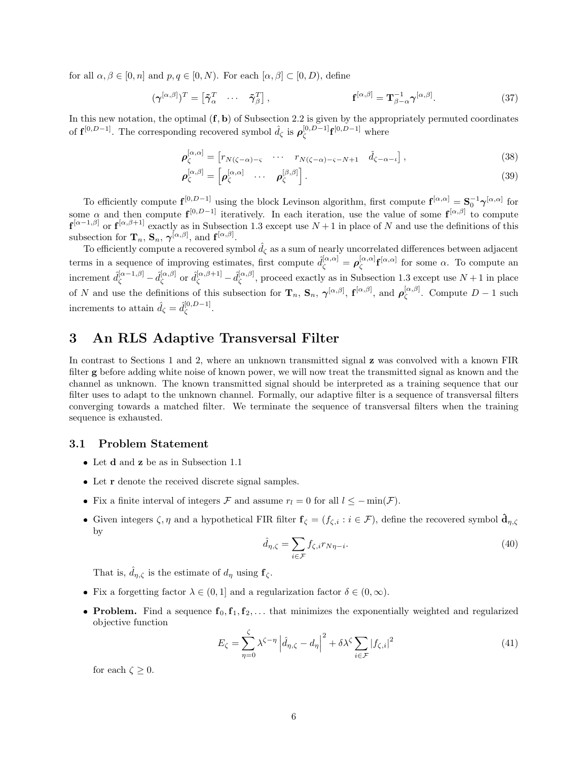for all  $\alpha, \beta \in [0, n]$  and  $p, q \in [0, N)$ . For each  $[\alpha, \beta] \subset [0, D)$ , define

$$
(\gamma^{[\alpha,\beta]})^T = \begin{bmatrix} \tilde{\gamma}_{\alpha}^T & \cdots & \tilde{\gamma}_{\beta}^T \end{bmatrix}, \qquad \qquad \mathbf{f}^{[\alpha,\beta]} = \mathbf{T}_{\beta-\alpha}^{-1} \gamma^{[\alpha,\beta]}.
$$
 (37)

In this new notation, the optimal  $(f, b)$  of Subsection 2.2 is given by the appropriately permuted coordinates of  $\mathbf{f}^{[0,D-1]}$ . The corresponding recovered symbol  $\hat{d}_{\zeta}$  is  $\rho_{\zeta}^{[0,D-1]}$  $\int_{\zeta}^{[0,D-1]} \mathbf{f}^{[0,D-1]}$  where

$$
\boldsymbol{\rho}_{\zeta}^{[\alpha,\alpha]} = \begin{bmatrix} r_{N(\zeta-\alpha)-\varsigma} & \cdots & r_{N(\zeta-\alpha)-\varsigma-N+1} & \check{d}_{\zeta-\alpha-\iota} \end{bmatrix},\tag{38}
$$

$$
\boldsymbol{\rho}_{\zeta}^{[\alpha,\beta]} = \begin{bmatrix} \boldsymbol{\rho}_{\zeta}^{[\alpha,\alpha]} & \cdots & \boldsymbol{\rho}_{\zeta}^{[\beta,\beta]} \end{bmatrix} . \tag{39}
$$

To efficiently compute  $f^{[0,D-1]}$  using the block Levinson algorithm, first compute  $f^{[\alpha,\alpha]} = S_0^{-1} \gamma^{[\alpha,\alpha]}$  for some  $\alpha$  and then compute  $f^{[0,D-1]}$  iteratively. In each iteration, use the value of some  $f^{[\alpha,\beta]}$  to compute  $\mathbf{f}^{[\alpha-1,\beta]}$  or  $\mathbf{f}^{[\alpha,\beta+1]}$  exactly as in Subsection 1.3 except use  $N+1$  in place of N and use the definitions of this subsection for  $\mathbf{T}_n$ ,  $\mathbf{S}_n$ ,  $\gamma^{[\alpha,\beta]}$ , and  $\mathbf{f}^{[\alpha,\beta]}$ .

To efficiently compute a recovered symbol  $\hat{d}_{\zeta}$  as a sum of nearly uncorrelated differences between adjacent terms in a sequence of improving estimates, first compute  $\hat{d}_{\zeta}^{[\alpha,\alpha]} = \rho_{\zeta}^{[\alpha,\alpha]}$  $\int_{\zeta}^{[\alpha,\alpha]} \mathbf{f}^{[\alpha,\alpha]}$  for some  $\alpha$ . To compute an increment  $\hat{d}_{\zeta}^{[\alpha-1,\beta]}$  -  $\hat{d}_{\zeta}^{[\alpha,\beta]}$  $\hat{d}_{\zeta}^{[\alpha,\beta]}$  or  $\hat{d}_{\zeta}^{[\alpha,\beta+1]}-\hat{d}_{\zeta}^{[\alpha,\beta]}$  $\mathcal{L}_{\zeta}^{(\alpha,\beta)}$ , proceed exactly as in Subsection 1.3 except use  $N+1$  in place of N and use the definitions of this subsection for  $\mathbf{T}_n$ ,  $\mathbf{S}_n$ ,  $\gamma^{[\alpha,\beta]}$ ,  $\mathbf{f}^{[\alpha,\beta]}$ , and  $\rho^{[\alpha,\beta]}_{\zeta}$  $\zeta^{[\alpha,\beta]}$ . Compute  $D-1$  such increments to attain  $\hat{d}_{\zeta} = \hat{d}_{\zeta}^{[0,D-1]}$  $\frac{1}{\zeta}^{[0, D-1]}.$ 

## 3 An RLS Adaptive Transversal Filter

In contrast to Sections 1 and 2, where an unknown transmitted signal z was convolved with a known FIR filter g before adding white noise of known power, we will now treat the transmitted signal as known and the channel as unknown. The known transmitted signal should be interpreted as a training sequence that our filter uses to adapt to the unknown channel. Formally, our adaptive filter is a sequence of transversal filters converging towards a matched filter. We terminate the sequence of transversal filters when the training sequence is exhausted.

#### 3.1 Problem Statement

- Let d and z be as in Subsection 1.1
- Let **r** denote the received discrete signal samples.
- Fix a finite interval of integers F and assume  $r_l = 0$  for all  $l \le -\min(\mathcal{F})$ .
- Given integers  $\zeta$ ,  $\eta$  and a hypothetical FIR filter  $\mathbf{f}_{\zeta} = (f_{\zeta,i} : i \in \mathcal{F})$ , define the recovered symbol  $\hat{\mathbf{d}}_{\eta,\zeta}$ by

$$
\hat{d}_{\eta,\zeta} = \sum_{i \in \mathcal{F}} f_{\zeta,i} r_{N\eta-i}.\tag{40}
$$

That is,  $\hat{d}_{\eta,\zeta}$  is the estimate of  $d_{\eta}$  using  $f_{\zeta}$ .

- Fix a forgetting factor  $\lambda \in (0,1]$  and a regularization factor  $\delta \in (0,\infty)$ .
- Problem. Find a sequence  $f_0, f_1, f_2, \ldots$  that minimizes the exponentially weighted and regularized objective function

$$
E_{\zeta} = \sum_{\eta=0}^{\zeta} \lambda^{\zeta-\eta} \left| \hat{d}_{\eta,\zeta} - d_{\eta} \right|^2 + \delta \lambda^{\zeta} \sum_{i \in \mathcal{F}} \left| f_{\zeta,i} \right|^2 \tag{41}
$$

for each  $\zeta \geq 0$ .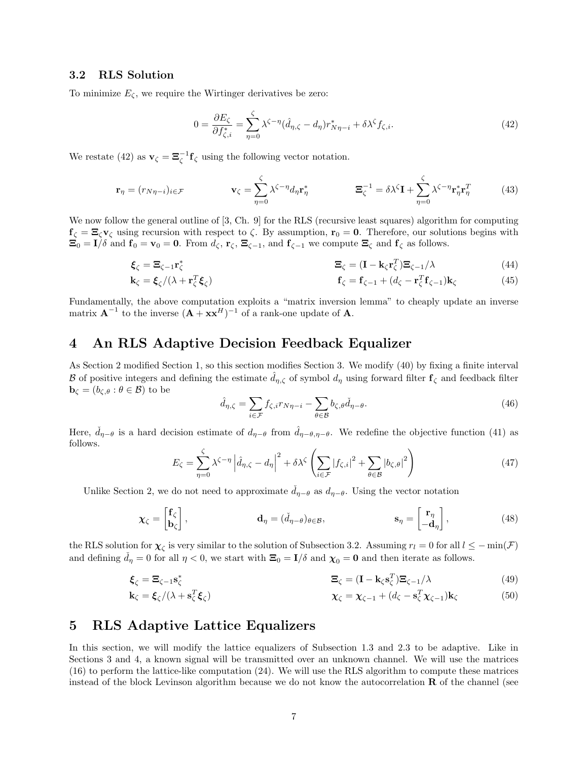#### 3.2 RLS Solution

To minimize  $E_{\zeta}$ , we require the Wirtinger derivatives be zero:

$$
0 = \frac{\partial E_{\zeta}}{\partial f_{\zeta,i}^*} = \sum_{\eta=0}^{\zeta} \lambda^{\zeta-\eta} (\hat{d}_{\eta,\zeta} - d_{\eta}) r_{N\eta-i}^* + \delta \lambda^{\zeta} f_{\zeta,i}.
$$
 (42)

We restate (42) as  $\mathbf{v}_{\zeta} = \mathbf{\Xi}_{\zeta}^{-1} \mathbf{f}_{\zeta}$  using the following vector notation.

$$
\mathbf{r}_{\eta} = (r_{N\eta - i})_{i \in \mathcal{F}} \qquad \qquad \mathbf{v}_{\zeta} = \sum_{\eta=0}^{\zeta} \lambda^{\zeta - \eta} d_{\eta} \mathbf{r}_{\eta}^{*} \qquad \qquad \mathbf{\Xi}_{\zeta}^{-1} = \delta \lambda^{\zeta} \mathbf{I} + \sum_{\eta=0}^{\zeta} \lambda^{\zeta - \eta} \mathbf{r}_{\eta}^{*} \mathbf{r}_{\eta}^{T} \qquad (43)
$$

We now follow the general outline of [3, Ch. 9] for the RLS (recursive least squares) algorithm for computing  $f_{\zeta} = \Xi_{\zeta} v_{\zeta}$  using recursion with respect to  $\zeta$ . By assumption,  $r_0 = 0$ . Therefore, our solutions begins with  $\mathbf{\Xi}_0 = \mathbf{I}/\delta$  and  $\mathbf{f}_0 = \mathbf{v}_0 = \mathbf{0}$ . From  $d_\zeta$ ,  $\mathbf{r}_\zeta$ ,  $\mathbf{\Xi}_{\zeta-1}$ , and  $\mathbf{f}_{\zeta-1}$  we compute  $\mathbf{\Xi}_\zeta$  and  $\mathbf{f}_\zeta$  as follows.

$$
\boldsymbol{\xi}_{\zeta} = \boldsymbol{\Xi}_{\zeta-1} \mathbf{r}_{\zeta}^* \tag{44}
$$

$$
\mathbf{k}_{\zeta} = \boldsymbol{\xi}_{\zeta} / (\lambda + \mathbf{r}_{\zeta}^{T} \boldsymbol{\xi}_{\zeta}) \tag{45}
$$
\n
$$
\mathbf{f}_{\zeta} = \mathbf{f}_{\zeta - 1} + (d_{\zeta} - \mathbf{r}_{\zeta}^{T} \mathbf{f}_{\zeta - 1}) \mathbf{k}_{\zeta}
$$

Fundamentally, the above computation exploits a "matrix inversion lemma" to cheaply update an inverse matrix  $\mathbf{A}^{-1}$  to the inverse  $(\mathbf{A} + \mathbf{x}\mathbf{x}^H)^{-1}$  of a rank-one update of  $\mathbf{A}$ .

## 4 An RLS Adaptive Decision Feedback Equalizer

As Section 2 modified Section 1, so this section modifies Section 3. We modify (40) by fixing a finite interval B of positive integers and defining the estimate  $d_{\eta,\zeta}$  of symbol  $d_{\eta}$  using forward filter  $f_{\zeta}$  and feedback filter  $\mathbf{b}_{\zeta} = (b_{\zeta,\theta} : \theta \in \mathcal{B})$  to be

$$
\hat{d}_{\eta,\zeta} = \sum_{i \in \mathcal{F}} f_{\zeta,i} r_{N\eta-i} - \sum_{\theta \in \mathcal{B}} b_{\zeta,\theta} \check{d}_{\eta-\theta}.
$$
\n(46)

Here,  $\check{d}_{\eta-\theta}$  is a hard decision estimate of  $d_{\eta-\theta}$  from  $\hat{d}_{\eta-\theta,\eta-\theta}$ . We redefine the objective function (41) as follows.

$$
E_{\zeta} = \sum_{\eta=0}^{\zeta} \lambda^{\zeta-\eta} \left| \hat{d}_{\eta,\zeta} - d_{\eta} \right|^2 + \delta \lambda^{\zeta} \left( \sum_{i \in \mathcal{F}} |f_{\zeta,i}|^2 + \sum_{\theta \in \mathcal{B}} |b_{\zeta,\theta}|^2 \right)
$$
(47)

Unlike Section 2, we do not need to approximate  $\tilde{d}_{\eta-\theta}$  as  $d_{\eta-\theta}$ . Using the vector notation

$$
\mathbf{\chi}_{\zeta} = \begin{bmatrix} \mathbf{f}_{\zeta} \\ \mathbf{b}_{\zeta} \end{bmatrix}, \qquad \mathbf{d}_{\eta} = (\check{d}_{\eta - \theta})_{\theta \in \mathcal{B}}, \qquad \mathbf{s}_{\eta} = \begin{bmatrix} \mathbf{r}_{\eta} \\ -\mathbf{d}_{\eta} \end{bmatrix}, \qquad (48)
$$

the RLS solution for  $\chi_{\zeta}$  is very similar to the solution of Subsection 3.2. Assuming  $r_l = 0$  for all  $l \le -\min(\mathcal{F})$ and defining  $d_{\eta} = 0$  for all  $\eta < 0$ , we start with  $\Xi_0 = I/\delta$  and  $\chi_0 = 0$  and then iterate as follows.

$$
\boldsymbol{\xi}_{\zeta} = \boldsymbol{\Xi}_{\zeta - 1} \mathbf{s}_{\zeta}^* \tag{49}
$$

$$
\mathbf{k}_{\zeta} = \boldsymbol{\xi}_{\zeta} / (\lambda + \mathbf{s}_{\zeta}^{T} \boldsymbol{\xi}_{\zeta}) \tag{50}
$$

## 5 RLS Adaptive Lattice Equalizers

In this section, we will modify the lattice equalizers of Subsection 1.3 and 2.3 to be adaptive. Like in Sections 3 and 4, a known signal will be transmitted over an unknown channel. We will use the matrices (16) to perform the lattice-like computation (24). We will use the RLS algorithm to compute these matrices instead of the block Levinson algorithm because we do not know the autocorrelation  $\bf{R}$  of the channel (see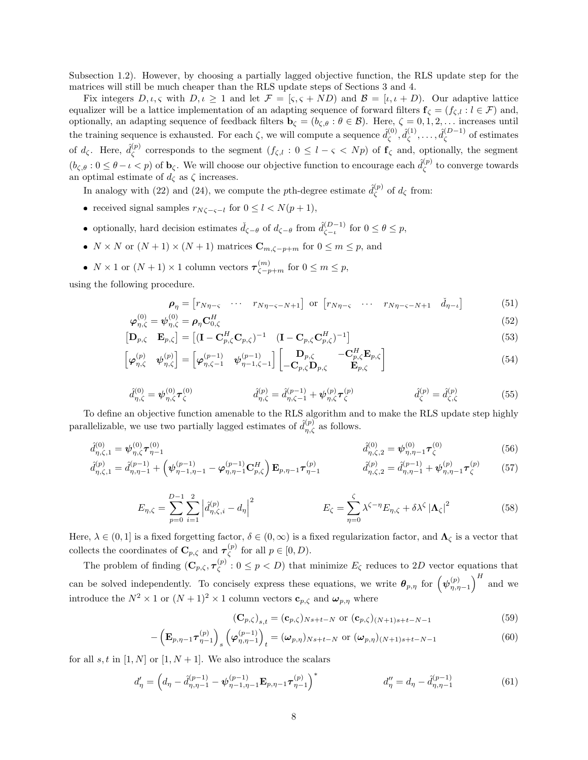Subsection 1.2). However, by choosing a partially lagged objective function, the RLS update step for the matrices will still be much cheaper than the RLS update steps of Sections 3 and 4.

Fix integers  $D, \iota, \varsigma$  with  $D, \iota \geq 1$  and let  $\mathcal{F} = [\varsigma, \varsigma + ND)$  and  $\mathcal{B} = [\iota, \iota + D)$ . Our adaptive lattice equalizer will be a lattice implementation of an adapting sequence of forward filters  $f_{\zeta} = (f_{\zeta,l} : l \in \mathcal{F})$  and, optionally, an adapting sequence of feedback filters  $\mathbf{b}_{\zeta} = (b_{\zeta,\theta} : \theta \in \mathcal{B})$ . Here,  $\zeta = 0, 1, 2, \ldots$  increases until the training sequence is exhausted. For each  $\zeta$ , we will compute a sequence  $\hat{d}_{\zeta}^{(0)}$  $\hat{d}^{(0)}_{\zeta}, \hat{d}^{(1)}_{\zeta}$  $\hat{d}_{\zeta}^{(1)},\ldots,\hat{d}_{\zeta}^{(D-1)}$  $\zeta^{(D-1)}$  of estimates of  $d_{\zeta}$ . Here,  $\hat{d}_{\zeta}^{(p)}$  $\zeta^{(p)}$  corresponds to the segment  $(f_{\zeta,l}: 0 \leq l-\varsigma \langle Np \rangle)$  of  $f_{\zeta}$  and, optionally, the segment  $(b_{\zeta,\theta}: 0 \leq \theta - \iota < p)$  of  $\mathbf{b}_{\zeta}$ . We will choose our objective function to encourage each  $\hat{d}_{\zeta}^{(p)}$  $\zeta^{(p)}$  to converge towards an optimal estimate of  $d_{\zeta}$  as  $\zeta$  increases.

In analogy with (22) and (24), we compute the pth-degree estimate  $\hat{d}_{\zeta}^{(p)}$  $\zeta^{(p)}$  of  $d_{\zeta}$  from:

- received signal samples  $r_{N\zeta-\zeta-l}$  for  $0 \le l < N(p+1)$ ,
- optionally, hard decision estimates  $\check{d}_{\zeta-\theta}$  of  $d_{\zeta-\theta}$  from  $\hat{d}_{\zeta-\theta}^{(D-1)}$  $\zeta_{-\iota}^{(D-1)}$  for  $0 \leq \theta \leq p$ ,
- $N \times N$  or  $(N + 1) \times (N + 1)$  matrices  $\mathbb{C}_{m,\zeta-p+m}$  for  $0 \leq m \leq p$ , and
- $N \times 1$  or  $(N + 1) \times 1$  column vectors  $\tau_{\zeta p+m}^{(m)}$  for  $0 \le m \le p$ ,

using the following procedure.

$$
\rho_{\eta} = \begin{bmatrix} r_{N\eta - \varsigma} & \cdots & r_{N\eta - \varsigma - N + 1} \end{bmatrix} \text{ or } \begin{bmatrix} r_{N\eta - \varsigma} & \cdots & r_{N\eta - \varsigma - N + 1} & \check{d}_{\eta - \iota} \end{bmatrix}
$$
(51)  

$$
= a_{\eta}^{(0)} = a_{\eta} \mathbf{G}^{H}
$$
(52)

$$
\boldsymbol{\varphi}_{\eta,\zeta}^{(0)} = \boldsymbol{\psi}_{\eta,\zeta}^{(0)} = \boldsymbol{\rho}_{\eta}\mathbf{C}_{0,\zeta}^{H} \tag{52}
$$
\n
$$
\mathbf{D}_{\mathbf{A}} \quad \mathbf{F}_{\mathbf{A}}^{-1} = \begin{bmatrix} (\mathbf{I} & \mathbf{C}^{H} & \mathbf{C}^{-1} \end{bmatrix} \quad (\mathbf{I} \quad \mathbf{C} \quad \mathbf{C}^{H})^{-1} \tag{53}
$$

$$
\begin{bmatrix} \mathbf{D}_{p,\zeta} & \mathbf{E}_{p,\zeta} \end{bmatrix} = \begin{bmatrix} (\mathbf{I} - \mathbf{C}_{p,\zeta}^H \mathbf{C}_{p,\zeta})^{-1} & (\mathbf{I} - \mathbf{C}_{p,\zeta} \mathbf{C}_{p,\zeta}^H)^{-1} \end{bmatrix}
$$
\n
$$
\begin{bmatrix} (p) & (p) \end{bmatrix} \begin{bmatrix} (p-1) & (p-1) \end{bmatrix} \begin{bmatrix} (p-1) & (p-1) \end{bmatrix} \begin{bmatrix} \mathbf{D}_{p,\zeta} & -\mathbf{C}_{p,\zeta}^H \mathbf{E}_{p,\zeta} \end{bmatrix}
$$
\n(53)

$$
\begin{bmatrix} \boldsymbol{\varphi}_{\eta,\zeta}^{(p)} & \boldsymbol{\psi}_{\eta,\zeta}^{(p)} \end{bmatrix} = \begin{bmatrix} \boldsymbol{\varphi}_{\eta,\zeta-1}^{(p-1)} & \boldsymbol{\psi}_{\eta-1,\zeta-1}^{(p-1)} \end{bmatrix} \begin{bmatrix} \mathbf{D}_{p,\zeta} & -\mathbf{C}_{p,\zeta}^{H} \mathbf{E}_{p,\zeta} \\ -\mathbf{C}_{p,\zeta} \mathbf{D}_{p,\zeta} & \mathbf{E}_{p,\zeta} \end{bmatrix}
$$
(54)

$$
\hat{d}_{\eta,\zeta}^{(0)} = \psi_{\eta,\zeta}^{(0)} \tau_{\zeta}^{(0)} \qquad \qquad \hat{d}_{\eta,\zeta}^{(p)} = \hat{d}_{\eta,\zeta-1}^{(p-1)} + \psi_{\eta,\zeta}^{(p)} \tau_{\zeta}^{(p)} \qquad \qquad \hat{d}_{\zeta}^{(p)} = \hat{d}_{\zeta,\zeta}^{(p)} \qquad (55)
$$

To define an objective function amenable to the RLS algorithm and to make the RLS update step highly parallelizable, we use two partially lagged estimates of  $\hat{d}_{\eta,\zeta}^{(p)}$  as follows.

$$
\hat{d}_{\eta,\zeta,1}^{(0)} = \psi_{\eta,\zeta}^{(0)} \boldsymbol{\tau}_{\eta-1}^{(0)} \qquad \qquad \hat{d}_{\eta,\zeta,2}^{(0)} = \psi_{\eta,\eta-1}^{(0)} \boldsymbol{\tau}_{\zeta}^{(0)} \tag{56}
$$

$$
\hat{d}_{\eta,\zeta,1}^{(p)} = \hat{d}_{\eta,\eta-1}^{(p-1)} + \left(\psi_{\eta-1,\eta-1}^{(p-1)} - \varphi_{\eta,\eta-1}^{(p-1)}\mathbf{C}_{p,\zeta}^H\right)\mathbf{E}_{p,\eta-1}\boldsymbol{\tau}_{\eta-1}^{(p)} \qquad \qquad \hat{d}_{\eta,\zeta,2}^{(p)} = \hat{d}_{\eta,\eta-1}^{(p-1)} + \psi_{\eta,\eta-1}^{(p)}\boldsymbol{\tau}_{\zeta}^{(p)} \qquad (57)
$$

$$
E_{\eta,\zeta} = \sum_{p=0}^{D-1} \sum_{i=1}^2 \left| \hat{d}_{\eta,\zeta,i}^{(p)} - d_{\eta} \right|^2 \qquad E_{\zeta} = \sum_{\eta=0}^{\zeta} \lambda^{\zeta-\eta} E_{\eta,\zeta} + \delta \lambda^{\zeta} \left| \mathbf{\Lambda}_{\zeta} \right|^2 \qquad (58)
$$

Here,  $\lambda \in (0,1]$  is a fixed forgetting factor,  $\delta \in (0,\infty)$  is a fixed regularization factor, and  $\Lambda_{\zeta}$  is a vector that collects the coordinates of  $\mathbf{C}_{p,\zeta}$  and  $\boldsymbol{\tau}_{\zeta}^{(p)}$  $\zeta^{(p)}$  for all  $p \in [0, D)$ .

The problem of finding  $(\mathbf{C}_{p,\zeta}, \boldsymbol{\tau}_{\zeta}^{(p)})$  $\zeta^{(p)}$ :  $0 \leq p < D$ ) that minimize  $E_{\zeta}$  reduces to 2D vector equations that can be solved independently. To concisely express these equations, we write  $\theta_{p,\eta}$  for  $(\psi_{\eta,\eta-1}^{(p)})^H$  and we introduce the  $N^2 \times 1$  or  $(N + 1)^2 \times 1$  column vectors  $\mathbf{c}_{p,\zeta}$  and  $\mathbf{\omega}_{p,\eta}$  where

$$
(\mathbf{C}_{p,\zeta})_{s,t} = (\mathbf{c}_{p,\zeta})_{Ns+t-N} \text{ or } (\mathbf{c}_{p,\zeta})_{(N+1)s+t-N-1}
$$
(59)

$$
-\left(\mathbf{E}_{p,\eta-1}\boldsymbol{\tau}_{\eta-1}^{(p)}\right)_s\left(\boldsymbol{\varphi}_{\eta,\eta-1}^{(p-1)}\right)_t = (\boldsymbol{\omega}_{p,\eta})_{Ns+t-N} \text{ or } (\boldsymbol{\omega}_{p,\eta})_{(N+1)s+t-N-1}
$$
(60)

for all s, t in [1, N] or [1, N + 1]. We also introduce the scalars

$$
d'_{\eta} = \left(d_{\eta} - \hat{d}^{(p-1)}_{\eta, \eta-1} - \psi^{(p-1)}_{\eta-1, \eta-1} \mathbf{E}_{p, \eta-1} \boldsymbol{\tau}^{(p)}_{\eta-1}\right)^{*} \qquad d''_{\eta} = d_{\eta} - \hat{d}^{(p-1)}_{\eta, \eta-1} \tag{61}
$$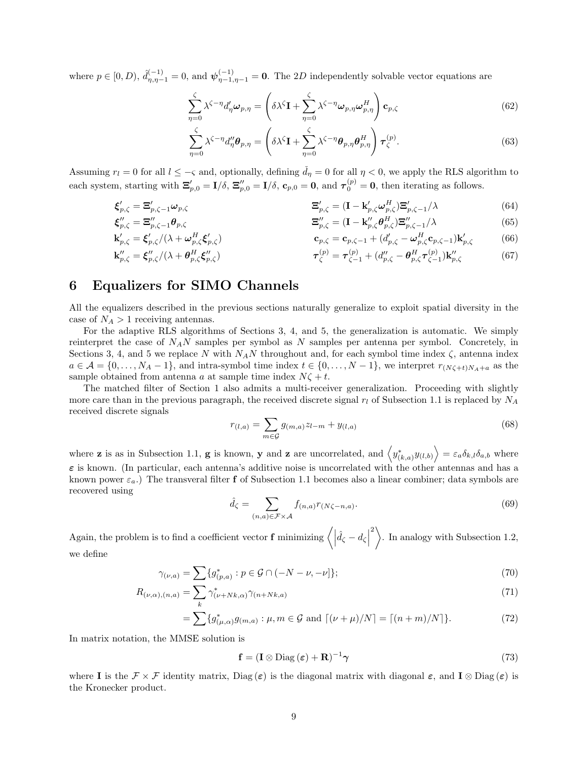where  $p \in [0, D)$ ,  $\hat{d}_{\eta, \eta-1}^{(-1)} = 0$ , and  $\psi_{\eta-1,\eta-1}^{(-1)} = 0$ . The 2D independently solvable vector equations are

$$
\sum_{\eta=0}^{\zeta} \lambda^{\zeta-\eta} d'_{\eta} \omega_{p,\eta} = \left( \delta \lambda^{\zeta} \mathbf{I} + \sum_{\eta=0}^{\zeta} \lambda^{\zeta-\eta} \omega_{p,\eta} \omega_{p,\eta}^{H} \right) \mathbf{c}_{p,\zeta}
$$
(62)

$$
\sum_{\eta=0}^{\zeta} \lambda^{\zeta-\eta} d_{\eta}^{\prime\prime} \boldsymbol{\theta}_{p,\eta} = \left( \delta \lambda^{\zeta} \mathbf{I} + \sum_{\eta=0}^{\zeta} \lambda^{\zeta-\eta} \boldsymbol{\theta}_{p,\eta} \boldsymbol{\theta}_{p,\eta}^{H} \right) \boldsymbol{\tau}_{\zeta}^{(p)}.
$$
(63)

Assuming  $r_l = 0$  for all  $l \le -\varsigma$  and, optionally, defining  $\tilde{d}_\eta = 0$  for all  $\eta < 0$ , we apply the RLS algorithm to each system, starting with  $\Xi'_{p,0} = I/\delta$ ,  $\Xi''_{p,0} = I/\delta$ ,  $\mathbf{c}_{p,0} = \mathbf{0}$ , and  $\boldsymbol{\tau}_0^{(p)} = \mathbf{0}$ , then iterating as follows.

$$
\boldsymbol{\xi}'_{p,\zeta} = \boldsymbol{\Xi}'_{p,\zeta-1} \boldsymbol{\omega}_{p,\zeta} \qquad \qquad \boldsymbol{\Xi}'_{p,\zeta} = (\mathbf{I} - \mathbf{k}'_{p,\zeta} \boldsymbol{\omega}_{p,\zeta}^H) \boldsymbol{\Xi}'_{p,\zeta-1} / \lambda \qquad (64)
$$

$$
\mathbf{\Xi}_{p,\zeta}^{\prime\prime} = (\mathbf{I} - \mathbf{k}_{p,\zeta}^{\prime\prime} \boldsymbol{\theta}_{p,\zeta}^{H}) \mathbf{\Xi}_{p,\zeta-1}^{\prime\prime}/\lambda
$$
(65)  

$$
\mathbf{\Xi}_{p,\zeta}^{\prime\prime} = (\mathbf{I} - \mathbf{k}_{p,\zeta}^{\prime\prime} \boldsymbol{\theta}_{p,\zeta}^{H}) \mathbf{\Xi}_{p,\zeta-1}^{\prime\prime}/\lambda
$$
(65)

$$
\mathbf{k}'_{p,\zeta} = \xi'_{p,\zeta}/(\lambda + \omega^H_{p,\zeta} \xi'_{p,\zeta})
$$
\n
$$
\mathbf{c}_{p,\zeta} = \mathbf{c}_{p,\zeta-1} + (d'_{p,\zeta} - \omega^H_{p,\zeta} \mathbf{c}_{p,\zeta-1}) \mathbf{k}'_{p,\zeta}
$$
\n(66)\n
$$
\mathbf{k}''_{p,\zeta} = \xi''_{p,\zeta}/(\lambda + \theta^H_{p,\zeta} \xi''_{p,\zeta})
$$
\n
$$
\tau^{(p)}_{\zeta} = \tau^{(p)}_{\zeta-1} + (d''_{p,\zeta} - \theta^H_{p,\zeta} \tau^{(p)}_{\zeta-1}) \mathbf{k}''_{p,\zeta}
$$
\n(67)

$$
\tau_{\zeta}^{(p)} = \tau_{\zeta-1}^{(p)} + (d_{p,\zeta}'' - \theta_{p,\zeta}^H \tau_{\zeta-1}^{(p)}) \mathbf{k}_{p,\zeta}''
$$
(67)

## 6 Equalizers for SIMO Channels

 $\boldsymbol{\xi}''_{p,\zeta}=\boldsymbol{\Xi}''_p$ 

All the equalizers described in the previous sections naturally generalize to exploit spatial diversity in the case of  $N_A > 1$  receiving antennas.

For the adaptive RLS algorithms of Sections 3, 4, and 5, the generalization is automatic. We simply reinterpret the case of  $N_A N$  samples per symbol as N samples per antenna per symbol. Concretely, in Sections 3, 4, and 5 we replace N with  $N_A N$  throughout and, for each symbol time index  $\zeta$ , antenna index  $a \in \mathcal{A} = \{0, \ldots, N_A - 1\}$ , and intra-symbol time index  $t \in \{0, \ldots, N - 1\}$ , we interpret  $r_{(N\zeta + t)N_A + a}$  as the sample obtained from antenna a at sample time index  $N\zeta + t$ .

The matched filter of Section 1 also admits a multi-receiver generalization. Proceeding with slightly more care than in the previous paragraph, the received discrete signal  $r_l$  of Subsection 1.1 is replaced by  $N_A$ received discrete signals

$$
r_{(l,a)} = \sum_{m \in \mathcal{G}} g_{(m,a)} z_{l-m} + y_{(l,a)}
$$
(68)

where **z** is as in Subsection 1.1, **g** is known, **y** and **z** are uncorrelated, and  $\langle y_{(k,a)}^* y_{(l,b)} \rangle = \varepsilon_a \delta_{k,l} \delta_{a,b}$  where  $\varepsilon$  is known. (In particular, each antenna's additive noise is uncorrelated with the other antennas and has a known power  $\varepsilon_a$ .) The transveral filter f of Subsection 1.1 becomes also a linear combiner; data symbols are recovered using

$$
\hat{d}_{\zeta} = \sum_{(n,a)\in \mathcal{F}\times\mathcal{A}} f_{(n,a)} r_{(N\zeta - n,a)}.
$$
\n(69)

Again, the problem is to find a coefficient vector **f** minimizing  $\left\langle \left| \hat{d}_\zeta - d_\zeta \right| \right\rangle$  $\left\langle \right\rangle$ . In analogy with Subsection 1.2, we define

$$
\gamma_{(\nu,a)} = \sum \{ g^*_{(p,a)} : p \in \mathcal{G} \cap (-N - \nu, -\nu] \};\tag{70}
$$

$$
R_{(\nu,\alpha),(n,a)} = \sum_{k} \gamma_{(\nu+Nk,\alpha)}^* \gamma_{(n+Nk,a)}
$$
\n(71)

$$
= \sum \{g^*_{(\mu,\alpha)}g_{(m,a)} : \mu, m \in \mathcal{G} \text{ and } \lceil (\nu+\mu)/N \rceil = \lceil (n+m)/N \rceil \}.
$$
 (72)

In matrix notation, the MMSE solution is

$$
\mathbf{f} = (\mathbf{I} \otimes \text{Diag}(\boldsymbol{\varepsilon}) + \mathbf{R})^{-1} \boldsymbol{\gamma}
$$
\n(73)

where I is the  $\mathcal{F} \times \mathcal{F}$  identity matrix, Diag( $\varepsilon$ ) is the diagonal matrix with diagonal  $\varepsilon$ , and  $I \otimes$  Diag( $\varepsilon$ ) is the Kronecker product.